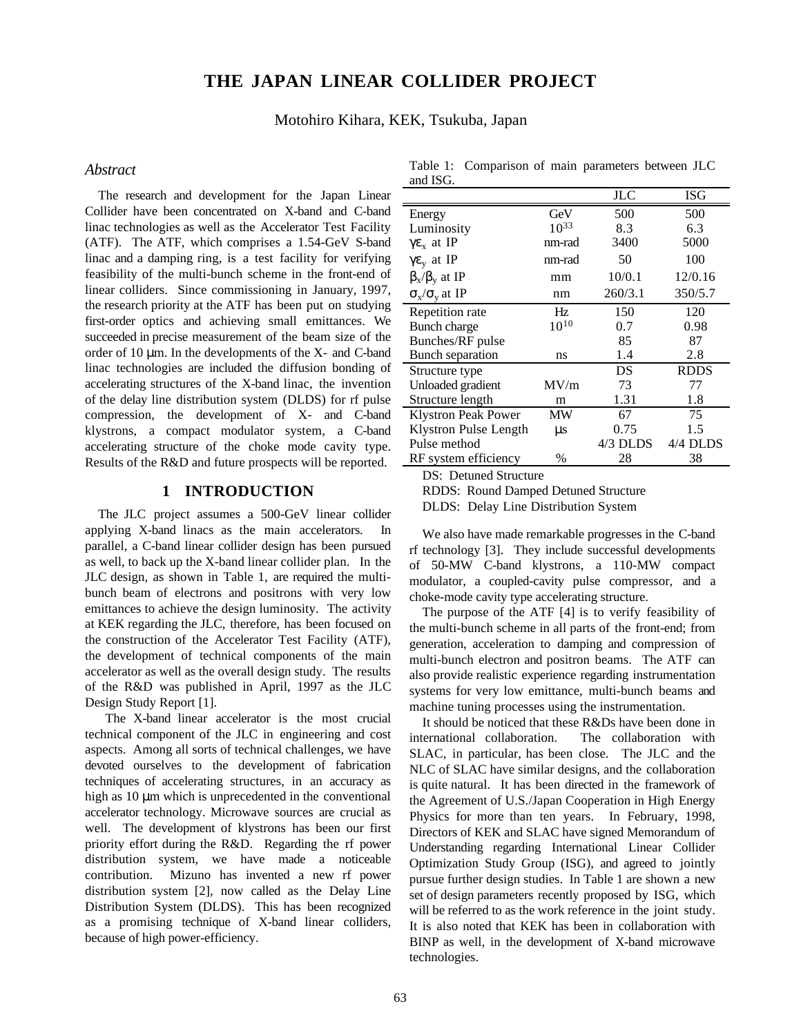# **THE JAPAN LINEAR COLLIDER PROJECT**

Motohiro Kihara, KEK, Tsukuba, Japan

#### *Abstract*

The research and development for the Japan Linear Collider have been concentrated on X-band and C-band linac technologies as well as the Accelerator Test Facility (ATF). The ATF, which comprises a 1.54-GeV S-band linac and a damping ring, is a test facility for verifying feasibility of the multi-bunch scheme in the front-end of linear colliders. Since commissioning in January, 1997, the research priority at the ATF has been put on studying first-order optics and achieving small emittances. We succeeded in precise measurement of the beam size of the order of 10 µm. In the developments of the X- and C-band linac technologies are included the diffusion bonding of accelerating structures of the X-band linac, the invention of the delay line distribution system (DLDS) for rf pulse compression, the development of X- and C-band klystrons, a compact modulator system, a C-band accelerating structure of the choke mode cavity type. Results of the R&D and future prospects will be reported.

# **1 INTRODUCTION**

The JLC project assumes a 500-GeV linear collider applying X-band linacs as the main accelerators. In parallel, a C-band linear collider design has been pursued as well, to back up the X-band linear collider plan. In the JLC design, as shown in Table 1, are required the multibunch beam of electrons and positrons with very low emittances to achieve the design luminosity. The activity at KEK regarding the JLC, therefore, has been focused on the construction of the Accelerator Test Facility (ATF), the development of technical components of the main accelerator as well as the overall design study. The results of the R&D was published in April, 1997 as the JLC Design Study Report [1].

 The X-band linear accelerator is the most crucial technical component of the JLC in engineering and cost aspects. Among all sorts of technical challenges, we have devoted ourselves to the development of fabrication techniques of accelerating structures, in an accuracy as high as 10  $\mu$ m which is unprecedented in the conventional accelerator technology. Microwave sources are crucial as well. The development of klystrons has been our first priority effort during the R&D. Regarding the rf power distribution system, we have made a noticeable contribution. Mizuno has invented a new rf power distribution system [2], now called as the Delay Line Distribution System (DLDS). This has been recognized as a promising technique of X-band linear colliders, because of high power-efficiency.

Table 1: Comparison of main parameters between JLC and ISG.

|                                         |           | JLC      | <b>ISG</b>  |
|-----------------------------------------|-----------|----------|-------------|
| Energy                                  | GeV       | 500      | 500         |
| Luminosity                              | $10^{33}$ | 8.3      | 6.3         |
| $\gamma \varepsilon_x$ at IP            | nm-rad    | 3400     | 5000        |
| $\gamma \varepsilon$ <sub>y</sub> at IP | nm-rad    | 50       | 100         |
| $\beta_x/\beta_y$ at IP                 | mm        | 10/0.1   | 12/0.16     |
| $\sigma_{\rm x}/\sigma_{\rm v}$ at IP   | nm        | 260/3.1  | 350/5.7     |
| Repetition rate                         | Hz        | 150      | 120         |
| Bunch charge                            | $10^{10}$ | 0.7      | 0.98        |
| Bunches/RF pulse                        |           | 85       | 87          |
| Bunch separation                        | ns        | 1.4      | 2.8         |
| Structure type                          |           | DS       | <b>RDDS</b> |
| Unloaded gradient                       | MV/m      | 73       | 77          |
| Structure length                        | m         | 1.31     | 1.8         |
| Klystron Peak Power                     | МW        | 67       | 75          |
| Klystron Pulse Length                   | μs        | 0.75     | 1.5         |
| Pulse method                            |           | 4/3 DLDS | 4/4 DLDS    |
| RF system efficiency                    | $\%$      | 28       | 38          |

DS: Detuned Structure

RDDS: Round Damped Detuned Structure

DLDS: Delay Line Distribution System

We also have made remarkable progresses in the C-band rf technology [3]. They include successful developments of 50-MW C-band klystrons, a 110-MW compact modulator, a coupled-cavity pulse compressor, and a choke-mode cavity type accelerating structure.

The purpose of the ATF [4] is to verify feasibility of the multi-bunch scheme in all parts of the front-end; from generation, acceleration to damping and compression of multi-bunch electron and positron beams. The ATF can also provide realistic experience regarding instrumentation systems for very low emittance, multi-bunch beams and machine tuning processes using the instrumentation.

It should be noticed that these  $R\&Ds$  have been done in international collaboration. The collaboration with SLAC, in particular, has been close. The JLC and the NLC of SLAC have similar designs, and the collaboration is quite natural. It has been directed in the framework of the Agreement of U.S./Japan Cooperation in High Energy Physics for more than ten years. In February, 1998, Directors of KEK and SLAC have signed Memorandum of Understanding regarding International Linear Collider Optimization Study Group (ISG), and agreed to jointly pursue further design studies. In Table 1 are shown a new set of design parameters recently proposed by ISG, which will be referred to as the work reference in the joint study. It is also noted that KEK has been in collaboration with BINP as well, in the development of X-band microwave technologies.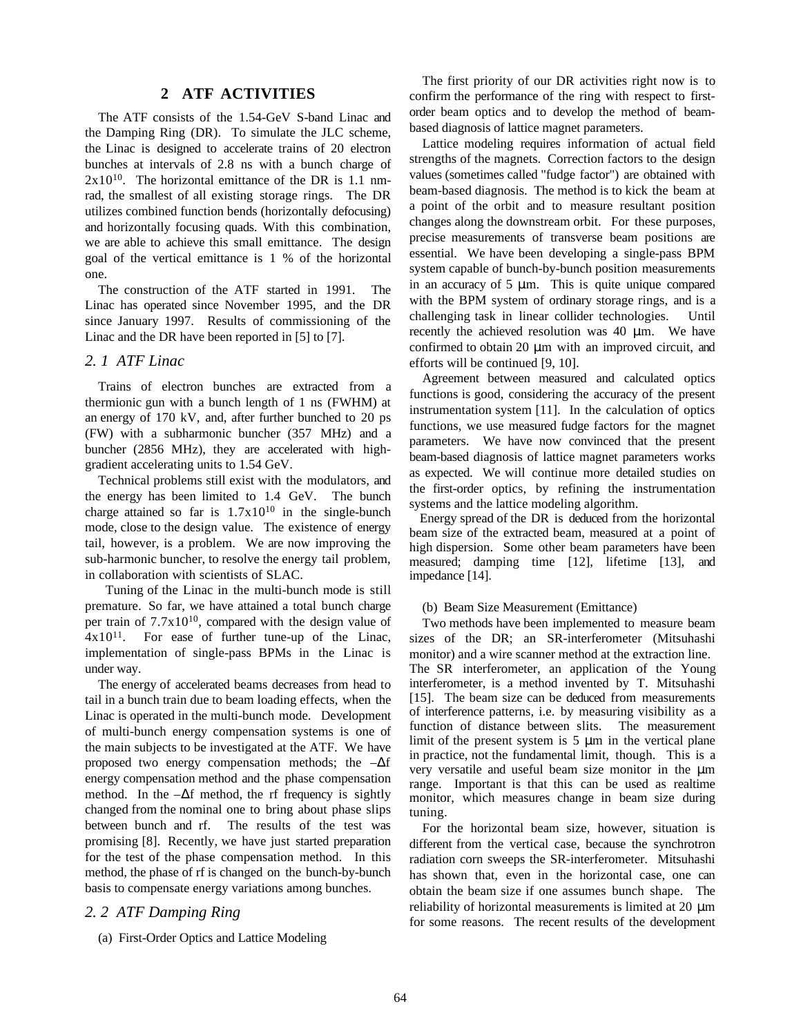# **2 ATF ACTIVITIES**

The ATF consists of the 1.54-GeV S-band Linac and the Damping Ring (DR). To simulate the JLC scheme, the Linac is designed to accelerate trains of 20 electron bunches at intervals of 2.8 ns with a bunch charge of  $2x10^{10}$ . The horizontal emittance of the DR is 1.1 nmrad, the smallest of all existing storage rings. The DR utilizes combined function bends (horizontally defocusing) and horizontally focusing quads. With this combination, we are able to achieve this small emittance. The design goal of the vertical emittance is 1 % of the horizontal one.

The construction of the ATF started in 1991. The Linac has operated since November 1995, and the DR since January 1997. Results of commissioning of the Linac and the DR have been reported in [5] to [7].

### *2. 1 ATF Linac*

Trains of electron bunches are extracted from a thermionic gun with a bunch length of 1 ns (FWHM) at an energy of 170 kV, and, after further bunched to 20 ps (FW) with a subharmonic buncher (357 MHz) and a buncher (2856 MHz), they are accelerated with highgradient accelerating units to 1.54 GeV.

Technical problems still exist with the modulators, and the energy has been limited to 1.4 GeV. The bunch charge attained so far is  $1.7x10^{10}$  in the single-bunch mode, close to the design value. The existence of energy tail, however, is a problem. We are now improving the sub-harmonic buncher, to resolve the energy tail problem, in collaboration with scientists of SLAC.

 Tuning of the Linac in the multi-bunch mode is still premature. So far, we have attained a total bunch charge per train of  $7.7x10^{10}$ , compared with the design value of  $4x10^{11}$ . For ease of further tune-up of the Linac, implementation of single-pass BPMs in the Linac is under way.

The energy of accelerated beams decreases from head to tail in a bunch train due to beam loading effects, when the Linac is operated in the multi-bunch mode. Development of multi-bunch energy compensation systems is one of the main subjects to be investigated at the ATF. We have proposed two energy compensation methods; the  $-\Delta f$ energy compensation method and the phase compensation method. In the  $-\Delta f$  method, the rf frequency is sightly changed from the nominal one to bring about phase slips between bunch and rf. The results of the test was promising [8]. Recently, we have just started preparation for the test of the phase compensation method. In this method, the phase of rf is changed on the bunch-by-bunch basis to compensate energy variations among bunches.

# *2. 2 ATF Damping Ring*

(a) First-Order Optics and Lattice Modeling

The first priority of our DR activities right now is to confirm the performance of the ring with respect to firstorder beam optics and to develop the method of beambased diagnosis of lattice magnet parameters.

Lattice modeling requires information of actual field strengths of the magnets. Correction factors to the design values (sometimes called "fudge factor") are obtained with beam-based diagnosis. The method is to kick the beam at a point of the orbit and to measure resultant position changes along the downstream orbit. For these purposes, precise measurements of transverse beam positions are essential. We have been developing a single-pass BPM system capable of bunch-by-bunch position measurements in an accuracy of  $5 \mu m$ . This is quite unique compared with the BPM system of ordinary storage rings, and is a challenging task in linear collider technologies. Until recently the achieved resolution was  $40 \mu m$ . We have confirmed to obtain 20 µm with an improved circuit, and efforts will be continued [9, 10].

Agreement between measured and calculated optics functions is good, considering the accuracy of the present instrumentation system [11]. In the calculation of optics functions, we use measured fudge factors for the magnet parameters. We have now convinced that the present beam-based diagnosis of lattice magnet parameters works as expected. We will continue more detailed studies on the first-order optics, by refining the instrumentation systems and the lattice modeling algorithm.

Energy spread of the DR is deduced from the horizontal beam size of the extracted beam, measured at a point of high dispersion. Some other beam parameters have been measured; damping time [12], lifetime [13], and impedance [14].

#### (b) Beam Size Measurement (Emittance)

Two methods have been implemented to measure beam sizes of the DR; an SR-interferometer (Mitsuhashi monitor) and a wire scanner method at the extraction line. The SR interferometer, an application of the Young interferometer, is a method invented by T. Mitsuhashi [15]. The beam size can be deduced from measurements of interference patterns, i.e. by measuring visibility as a function of distance between slits. The measurement limit of the present system is  $5 \mu m$  in the vertical plane in practice, not the fundamental limit, though. This is a very versatile and useful beam size monitor in the µm range. Important is that this can be used as realtime monitor, which measures change in beam size during tuning.

For the horizontal beam size, however, situation is different from the vertical case, because the synchrotron radiation corn sweeps the SR-interferometer. Mitsuhashi has shown that, even in the horizontal case, one can obtain the beam size if one assumes bunch shape. The reliability of horizontal measurements is limited at 20 µm for some reasons. The recent results of the development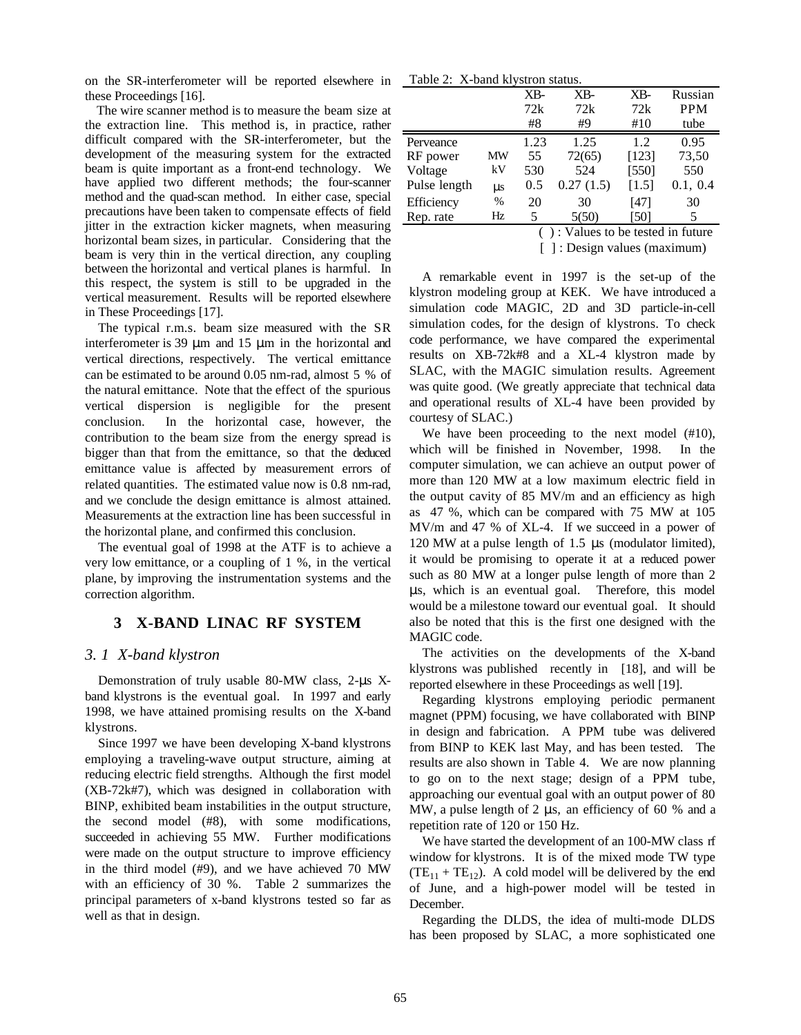on the SR-interferometer will be reported elsewhere in these Proceedings [16].

The wire scanner method is to measure the beam size at the extraction line. This method is, in practice, rather difficult compared with the SR-interferometer, but the development of the measuring system for the extracted beam is quite important as a front-end technology. We have applied two different methods; the four-scanner method and the quad-scan method. In either case, special precautions have been taken to compensate effects of field jitter in the extraction kicker magnets, when measuring horizontal beam sizes, in particular. Considering that the beam is very thin in the vertical direction, any coupling between the horizontal and vertical planes is harmful. In this respect, the system is still to be upgraded in the vertical measurement. Results will be reported elsewhere in These Proceedings [17].

The typical r.m.s. beam size measured with the SR interferometer is 39  $\mu$ m and 15  $\mu$ m in the horizontal and vertical directions, respectively. The vertical emittance can be estimated to be around 0.05 nm-rad, almost 5 % of the natural emittance. Note that the effect of the spurious vertical dispersion is negligible for the present conclusion. In the horizontal case, however, the contribution to the beam size from the energy spread is bigger than that from the emittance, so that the deduced emittance value is affected by measurement errors of related quantities. The estimated value now is 0.8 nm-rad, and we conclude the design emittance is almost attained. Measurements at the extraction line has been successful in the horizontal plane, and confirmed this conclusion.

The eventual goal of 1998 at the ATF is to achieve a very low emittance, or a coupling of 1 %, in the vertical plane, by improving the instrumentation systems and the correction algorithm.

# **3 X-BAND LINAC RF SYSTEM**

#### *3. 1 X-band klystron*

Demonstration of truly usable 80-MW class, 2-µs Xband klystrons is the eventual goal. In 1997 and early 1998, we have attained promising results on the X-band klystrons.

Since 1997 we have been developing X-band klystrons employing a traveling-wave output structure, aiming at reducing electric field strengths. Although the first model (XB-72k#7), which was designed in collaboration with BINP, exhibited beam instabilities in the output structure, the second model (#8), with some modifications, succeeded in achieving 55 MW. Further modifications were made on the output structure to improve efficiency in the third model (#9), and we have achieved 70 MW with an efficiency of 30 %. Table 2 summarizes the principal parameters of x-band klystrons tested so far as well as that in design.

Table 2: X-band klystron status.

|                                                                   |         | $X_{B}$ | XB-       | XB-   | Russian    |  |
|-------------------------------------------------------------------|---------|---------|-----------|-------|------------|--|
|                                                                   |         | 72k     | 72k       | 72k   | <b>PPM</b> |  |
|                                                                   |         | #8      | #9        | #10   | tube       |  |
| Perveance                                                         |         | 1.23    | 1.25      | 1.2   | 0.95       |  |
| RF power                                                          | ΜW      | 55      | 72(65)    | [123] | 73,50      |  |
| Voltage                                                           | kV      | 530     | 524       | [550] | 550        |  |
| Pulse length                                                      | $\mu s$ | 0.5     | 0.27(1.5) | [1.5] | 0.1, 0.4   |  |
| Efficiency                                                        | %       | 20      | 30        | [47]  | 30         |  |
| Rep. rate                                                         | Hz      | 5       | 5(50)     | [50]  | 5          |  |
| $\sqrt{2}$ $\sqrt{1}$ $\sqrt{1}$ $\sqrt{1}$ $\sqrt{1}$ $\sqrt{1}$ |         |         |           |       |            |  |

( ) : Values to be tested in future [ ] : Design values (maximum)

A remarkable event in 1997 is the set-up of the

klystron modeling group at KEK. We have introduced a simulation code MAGIC, 2D and 3D particle-in-cell simulation codes, for the design of klystrons. To check code performance, we have compared the experimental results on XB-72k#8 and a XL-4 klystron made by SLAC, with the MAGIC simulation results. Agreement was quite good. (We greatly appreciate that technical data and operational results of XL-4 have been provided by courtesy of SLAC.)

We have been proceeding to the next model (#10), which will be finished in November, 1998. In the computer simulation, we can achieve an output power of more than 120 MW at a low maximum electric field in the output cavity of 85 MV/m and an efficiency as high as 47 %, which can be compared with 75 MW at 105 MV/m and 47 % of XL-4. If we succeed in a power of 120 MW at a pulse length of 1.5 µs (modulator limited), it would be promising to operate it at a reduced power such as 80 MW at a longer pulse length of more than 2 µs, which is an eventual goal. Therefore, this model would be a milestone toward our eventual goal. It should also be noted that this is the first one designed with the MAGIC code.

The activities on the developments of the X-band klystrons was published recently in [18], and will be reported elsewhere in these Proceedings as well [19].

Regarding klystrons employing periodic permanent magnet (PPM) focusing, we have collaborated with BINP in design and fabrication. A PPM tube was delivered from BINP to KEK last May, and has been tested. The results are also shown in Table 4. We are now planning to go on to the next stage; design of a PPM tube, approaching our eventual goal with an output power of 80 MW, a pulse length of 2 µs, an efficiency of 60 % and a repetition rate of 120 or 150 Hz.

We have started the development of an 100-MW class rf window for klystrons. It is of the mixed mode TW type  $(TE_{11} + TE_{12})$ . A cold model will be delivered by the end of June, and a high-power model will be tested in December.

Regarding the DLDS, the idea of multi-mode DLDS has been proposed by SLAC, a more sophisticated one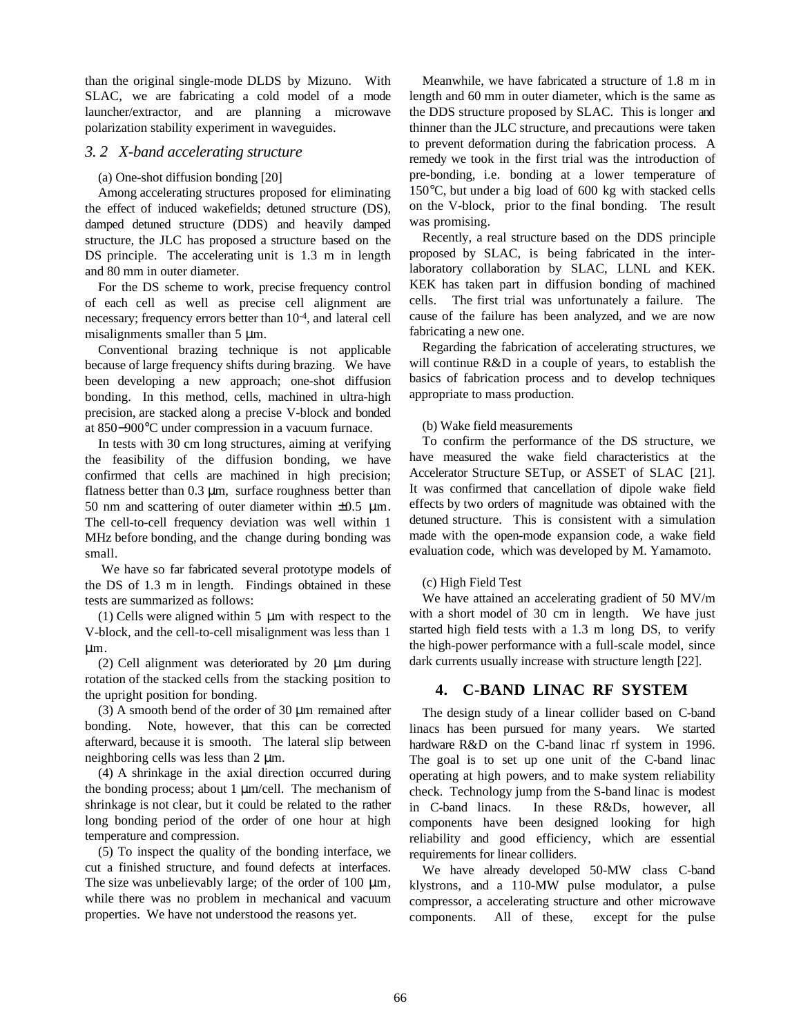than the original single-mode DLDS by Mizuno. With SLAC, we are fabricating a cold model of a mode launcher/extractor, and are planning a microwave polarization stability experiment in waveguides.

### *3. 2 X-band accelerating structure*

#### (a) One-shot diffusion bonding [20]

Among accelerating structures proposed for eliminating the effect of induced wakefields; detuned structure (DS), damped detuned structure (DDS) and heavily damped structure, the JLC has proposed a structure based on the DS principle. The accelerating unit is 1.3 m in length and 80 mm in outer diameter.

For the DS scheme to work, precise frequency control of each cell as well as precise cell alignment are necessary; frequency errors better than 10-4, and lateral cell misalignments smaller than 5  $\mu$ m.

Conventional brazing technique is not applicable because of large frequency shifts during brazing. We have been developing a new approach; one-shot diffusion bonding. In this method, cells, machined in ultra-high precision, are stacked along a precise V-block and bonded at 850−900°C under compression in a vacuum furnace.

In tests with 30 cm long structures, aiming at verifying the feasibility of the diffusion bonding, we have confirmed that cells are machined in high precision; flatness better than 0.3  $\mu$ m, surface roughness better than 50 nm and scattering of outer diameter within  $\pm 0.5$  µm. The cell-to-cell frequency deviation was well within 1 MHz before bonding, and the change during bonding was small.

 We have so far fabricated several prototype models of the DS of 1.3 m in length. Findings obtained in these tests are summarized as follows:

(1) Cells were aligned within  $5 \mu m$  with respect to the V-block, and the cell-to-cell misalignment was less than 1 µm.

(2) Cell alignment was deteriorated by 20 µm during rotation of the stacked cells from the stacking position to the upright position for bonding.

(3) A smooth bend of the order of 30 µm remained after bonding. Note, however, that this can be corrected afterward, because it is smooth. The lateral slip between neighboring cells was less than 2 µm.

(4) A shrinkage in the axial direction occurred during the bonding process; about 1  $\mu$ m/cell. The mechanism of shrinkage is not clear, but it could be related to the rather long bonding period of the order of one hour at high temperature and compression.

(5) To inspect the quality of the bonding interface, we cut a finished structure, and found defects at interfaces. The size was unbelievably large; of the order of 100  $\mu$ m, while there was no problem in mechanical and vacuum properties. We have not understood the reasons yet.

Meanwhile, we have fabricated a structure of 1.8 m in length and 60 mm in outer diameter, which is the same as the DDS structure proposed by SLAC. This is longer and thinner than the JLC structure, and precautions were taken to prevent deformation during the fabrication process. A remedy we took in the first trial was the introduction of pre-bonding, i.e. bonding at a lower temperature of 150°C, but under a big load of 600 kg with stacked cells on the V-block, prior to the final bonding. The result was promising.

Recently, a real structure based on the DDS principle proposed by SLAC, is being fabricated in the interlaboratory collaboration by SLAC, LLNL and KEK. KEK has taken part in diffusion bonding of machined cells. The first trial was unfortunately a failure. The cause of the failure has been analyzed, and we are now fabricating a new one.

Regarding the fabrication of accelerating structures, we will continue R&D in a couple of years, to establish the basics of fabrication process and to develop techniques appropriate to mass production.

#### (b) Wake field measurements

To confirm the performance of the DS structure, we have measured the wake field characteristics at the Accelerator Structure SETup, or ASSET of SLAC [21]. It was confirmed that cancellation of dipole wake field effects by two orders of magnitude was obtained with the detuned structure. This is consistent with a simulation made with the open-mode expansion code, a wake field evaluation code, which was developed by M. Yamamoto.

#### (c) High Field Test

We have attained an accelerating gradient of 50 MV/m with a short model of 30 cm in length. We have just started high field tests with a 1.3 m long DS, to verify the high-power performance with a full-scale model, since dark currents usually increase with structure length [22].

# **4. C-BAND LINAC RF SYSTEM**

The design study of a linear collider based on C-band linacs has been pursued for many years. We started hardware R&D on the C-band linac rf system in 1996. The goal is to set up one unit of the C-band linac operating at high powers, and to make system reliability check. Technology jump from the S-band linac is modest in C-band linacs. In these R&Ds, however, all components have been designed looking for high reliability and good efficiency, which are essential requirements for linear colliders.

We have already developed 50-MW class C-band klystrons, and a 110-MW pulse modulator, a pulse compressor, a accelerating structure and other microwave components. All of these, except for the pulse